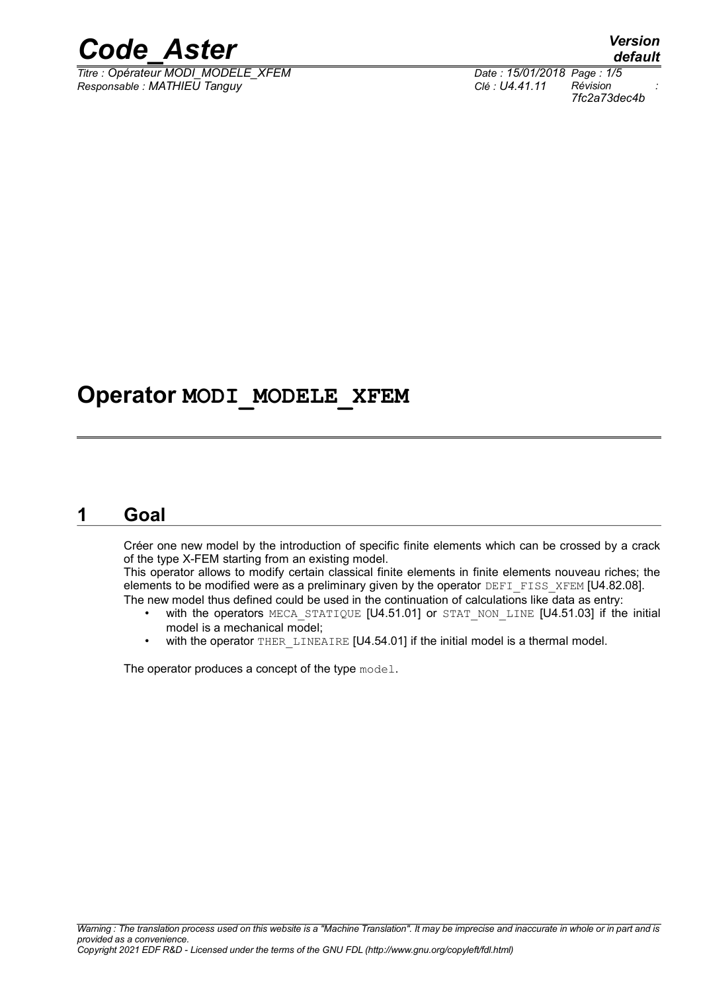

*Titre : Opérateur MODI\_MODELE\_XFEM Date : 15/01/2018 Page : 1/5 Responsable : MATHIEU Tanguy Clé : U4.41.11 Révision :*

*default 7fc2a73dec4b*

### **Operator MODI\_MODELE\_XFEM**

#### **1 Goal**

Créer one new model by the introduction of specific finite elements which can be crossed by a crack of the type X-FEM starting from an existing model.

This operator allows to modify certain classical finite elements in finite elements nouveau riches; the elements to be modified were as a preliminary given by the operator DEFI\_FISS\_XFEM [U4.82.08]. The new model thus defined could be used in the continuation of calculations like data as entry:

- with the operators MECA STATIQUE [U4.51.01] or STAT NON LINE [U4.51.03] if the initial model is a mechanical model;
- with the operator THER, LINEAIRE  $[U4.54.01]$  if the initial model is a thermal model.

The operator produces a concept of the type model.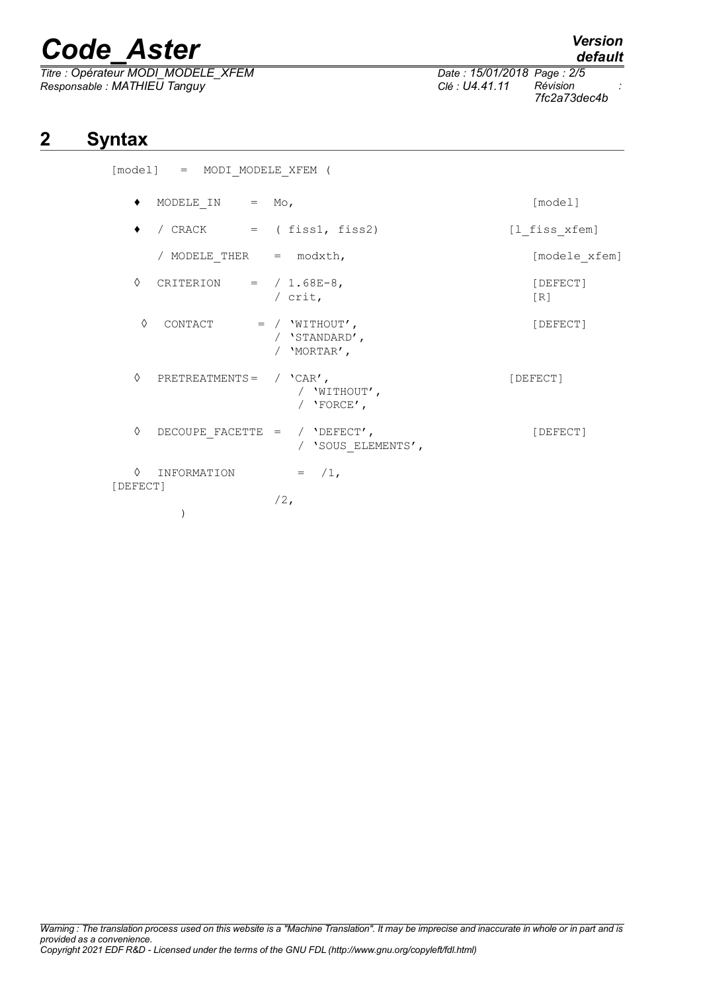*Titre : Opérateur MODI\_MODELE\_XFEM Date : 15/01/2018 Page : 2/5 Responsable : MATHIEU Tanguy Clé : U4.41.11 Révision :*

)

## **2 Syntax**

|               | [model] = MODI MODELE XFEM (    |                                                     |                 |
|---------------|---------------------------------|-----------------------------------------------------|-----------------|
|               | MODELE IN $=$ Mo,               |                                                     | [model]         |
|               | / $CRACT = (fiss1, fiss2)$      |                                                     | [1 fiss xfem]   |
|               | / MODELE THER $=$ modxth,       |                                                     | [modele xfem]   |
| ♦             | CRITERION = $/ 1.68E-8$ ,       | / $crit$ ,                                          | [DEFECT]<br>[R] |
| ♦             | CONTACT                         | $=$ / $'WITHOUT'$ ,<br>/ 'STANDARD',<br>/ 'MORTAR', | [DEFECT]        |
| ♦             | PRETREATMENTS = $/$ 'CAR',      | / 'WITHOUT',<br>/ $'$ FORCE',                       | [DEFECT]        |
| ♦             | DECOUPE FACETTE = $/$ 'DEFECT', | / 'SOUS ELEMENTS',                                  | [DEFECT]        |
| ♦<br>[DEFECT] | INFORMATION                     | $=$ $/1$ ,                                          |                 |
|               |                                 | $/2$ ,                                              |                 |

*default*

*7fc2a73dec4b*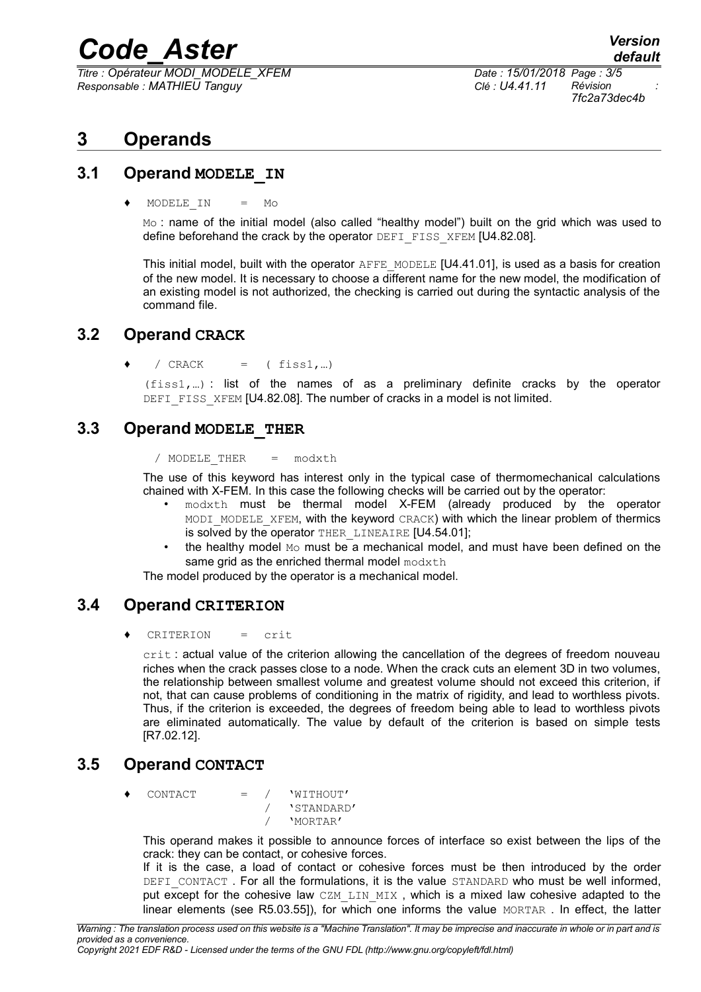*Titre : Opérateur MODI\_MODELE\_XFEM Date : 15/01/2018 Page : 3/5 Responsable : MATHIEU Tanguy Clé : U4.41.11 Révision :*

*7fc2a73dec4b*

### **3 Operands**

#### **3.1 Operand MODELE\_IN**

 $MODELEIN = MO$ 

Mo: name of the initial model (also called "healthy model") built on the grid which was used to define beforehand the crack by the operator DEFI\_FISS\_XFEM [U4.82.08].

This initial model, built with the operator AFFE\_MODELE [U4.41.01], is used as a basis for creation of the new model. It is necessary to choose a different name for the new model, the modification of an existing model is not authorized, the checking is carried out during the syntactic analysis of the command file.

#### **3.2 Operand CRACK**

 $\bullet$  / CRACK = (fiss1,...)

(fiss1,…) : list of the names of as a preliminary definite cracks by the operator DEFI FISS XFEM [U4.82.08]. The number of cracks in a model is not limited.

#### **3.3 Operand MODELE\_THER**

/ MODELE\_THER = modxth

The use of this keyword has interest only in the typical case of thermomechanical calculations chained with X-FEM. In this case the following checks will be carried out by the operator:

- modxth must be thermal model X-FEM (already produced by the operator MODI MODELE XFEM, with the keyword CRACK) with which the linear problem of thermics is solved by the operator THER LINEAIRE [U4.54.01];
- the healthy model Mo must be a mechanical model, and must have been defined on the same grid as the enriched thermal model  $modx$ th

The model produced by the operator is a mechanical model.

#### **3.4 Operand CRITERION**

CRITERION = crit

crit : actual value of the criterion allowing the cancellation of the degrees of freedom nouveau riches when the crack passes close to a node. When the crack cuts an element 3D in two volumes, the relationship between smallest volume and greatest volume should not exceed this criterion, if not, that can cause problems of conditioning in the matrix of rigidity, and lead to worthless pivots. Thus, if the criterion is exceeded, the degrees of freedom being able to lead to worthless pivots are eliminated automatically. The value by default of the criterion is based on simple tests [R7.02.12].

#### **3.5 Operand CONTACT**

 $\begin{array}{ccc} \text{CONTACT} & = & / & \text{WITHOUT'} \end{array}$ / 'STANDARD' / 'MORTAR'

This operand makes it possible to announce forces of interface so exist between the lips of the crack: they can be contact, or cohesive forces.

If it is the case, a load of contact or cohesive forces must be then introduced by the order DEFI CONTACT. For all the formulations, it is the value STANDARD who must be well informed, put except for the cohesive law CZM LIN MIX, which is a mixed law cohesive adapted to the linear elements (see R5.03.551), for which one informs the value MORTAR. In effect, the latter

*Copyright 2021 EDF R&D - Licensed under the terms of the GNU FDL (http://www.gnu.org/copyleft/fdl.html)*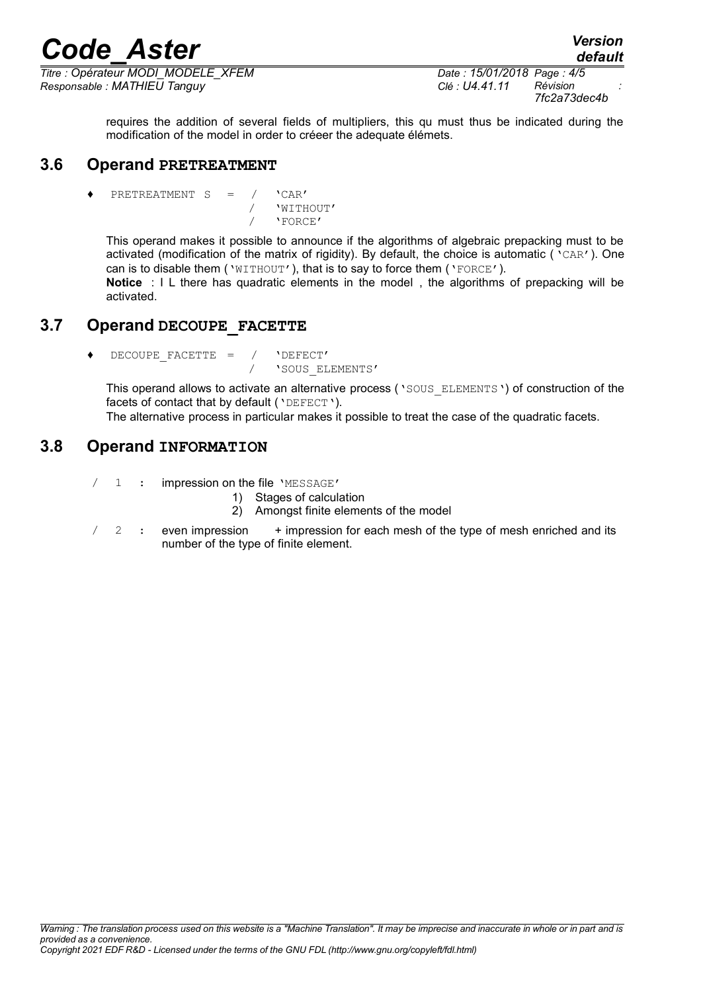*Titre : Opérateur MODI\_MODELE\_XFEM Date : 15/01/2018 Page : 4/5 Responsable : MATHIEU Tanguy Clé : U4.41.11 Révision :*

*7fc2a73dec4b*

*default*

requires the addition of several fields of multipliers, this qu must thus be indicated during the modification of the model in order to créeer the adequate élémets.

#### **3.6 Operand PRETREATMENT**

PRETREATMENT  $S = / \text{'CAR'}$  / 'WITHOUT' / 'FORCE'

This operand makes it possible to announce if the algorithms of algebraic prepacking must to be activated (modification of the matrix of rigidity). By default, the choice is automatic ('CAR'). One can is to disable them ('WITHOUT'), that is to say to force them ('FORCE').

**Notice** : I L there has quadratic elements in the model , the algorithms of prepacking will be activated.

#### **3.7 Operand DECOUPE\_FACETTE**

♦ DECOUPE\_FACETTE = / 'DEFECT' / 'SOUS\_ELEMENTS'

This operand allows to activate an alternative process ('SOUS\_ELEMENTS') of construction of the facets of contact that by default ('DEFECT').

The alternative process in particular makes it possible to treat the case of the quadratic facets.

#### **3.8 Operand INFORMATION**

/ 1 : impression on the file 'MESSAGE'

- 1) Stages of calculation
- 2) Amongst finite elements of the model
- 2 : even impression + impression for each mesh of the type of mesh enriched and its number of the type of finite element.